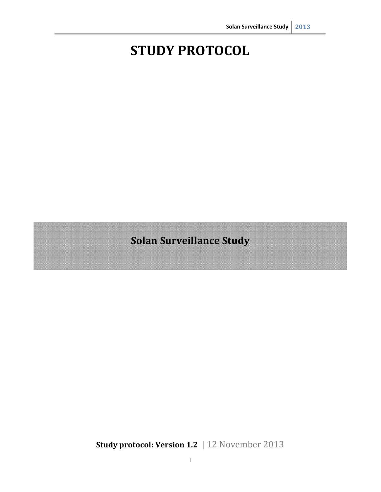# **STUDY PROTOCOL**

**Solan Surveillance Study** 

**Study protocol: Version 1.2** | 12 November 2013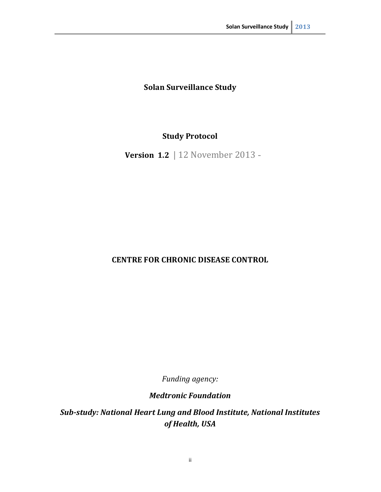# **Solan Surveillance Study**

# **Study Protocol**

 **Version 1.2** | 12 November 2013

# **CENTRE FOR CHRONIC DISEASE CONTROL**

 *Funding agency:* 

*Medtronic Foundation* 

 *Sub-study: National Heart Lung and Blood Institute, National Institutes of Health, USA*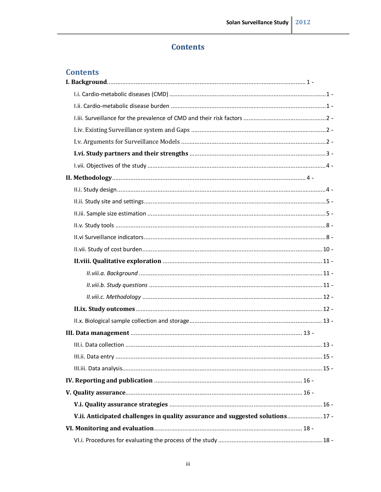# **Contents**

# **Contents**

| V.ii. Anticipated challenges in quality assurance and suggested solutions 17 - |  |
|--------------------------------------------------------------------------------|--|
|                                                                                |  |
|                                                                                |  |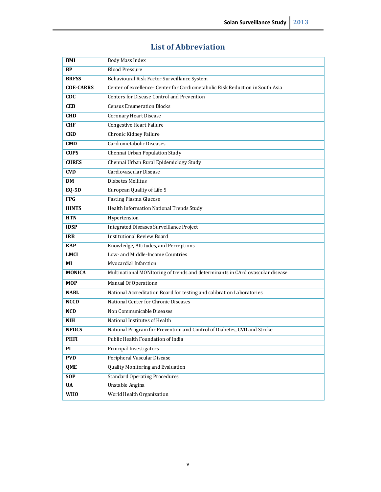## **List of Abbreviation**�

| BMI              | Body Mass Index                                                               |  |  |
|------------------|-------------------------------------------------------------------------------|--|--|
| <b>BP</b>        | <b>Blood Pressure</b>                                                         |  |  |
| <b>BRFSS</b>     | Behavioural Risk Factor Surveillance System                                   |  |  |
| <b>COE-CARRS</b> | Center of excellence- Center for Cardiometabolic Risk Reduction in South Asia |  |  |
| <b>CDC</b>       | Centers for Disease Control and Prevention                                    |  |  |
| <b>CEB</b>       | <b>Census Enumeration Blocks</b>                                              |  |  |
| <b>CHD</b>       | Coronary Heart Disease                                                        |  |  |
| <b>CHF</b>       | <b>Congestive Heart Failure</b>                                               |  |  |
| <b>CKD</b>       | <b>Chronic Kidney Failure</b>                                                 |  |  |
| <b>CMD</b>       | Cardiometabolic Diseases                                                      |  |  |
| <b>CUPS</b>      | Chennai Urban Population Study                                                |  |  |
| <b>CURES</b>     | Chennai Urban Rural Epidemiology Study                                        |  |  |
| <b>CVD</b>       | Cardiovascular Disease                                                        |  |  |
| DM               | Diabetes Mellitus                                                             |  |  |
| <b>EQ-5D</b>     | European Quality of Life 5                                                    |  |  |
| <b>FPG</b>       | <b>Fasting Plasma Glucose</b>                                                 |  |  |
| <b>HINTS</b>     | Health Information National Trends Study                                      |  |  |
| <b>HTN</b>       | Hypertension                                                                  |  |  |
| <b>IDSP</b>      | <b>Integrated Diseases Surveillance Project</b>                               |  |  |
| <b>IRB</b>       | <b>Institutional Review Board</b>                                             |  |  |
| <b>KAP</b>       | Knowledge, Attitudes, and Perceptions                                         |  |  |
| <b>LMCI</b>      | Low- and Middle-Income Countries                                              |  |  |
| MI               | Myocardial Infarction                                                         |  |  |
| <b>MONICA</b>    | Multinational MONItoring of trends and determinants in CArdiovascular disease |  |  |
| <b>MOP</b>       | <b>Manual Of Operations</b>                                                   |  |  |
| <b>NABL</b>      | National Accreditation Board for testing and calibration Laboratories         |  |  |
| <b>NCCD</b>      | National Center for Chronic Diseases                                          |  |  |
| <b>NCD</b>       | Non Communicable Diseases                                                     |  |  |
| <b>NIH</b>       | National Institutes of Health                                                 |  |  |
| <b>NPDCS</b>     | National Program for Prevention and Control of Diabetes, CVD and Stroke       |  |  |
| <b>PHFI</b>      | <b>Public Health Foundation of India</b>                                      |  |  |
| PI               | Principal Investigators                                                       |  |  |
| <b>PVD</b>       | Peripheral Vascular Disease                                                   |  |  |
| <b>QME</b>       | <b>Quality Monitoring and Evaluation</b>                                      |  |  |
| <b>SOP</b>       | <b>Standard Operating Procedures</b>                                          |  |  |
| <b>UA</b>        | Unstable Angina                                                               |  |  |
| <b>WHO</b>       | World Health Organization                                                     |  |  |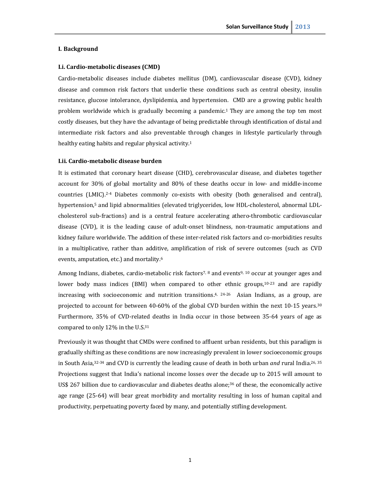#### <span id="page-5-0"></span>**I. Background**

## **I.i. Cardio-metabolic diseases (CMD)**

 Cardio-metabolic diseases include diabetes mellitus (DM), cardiovascular disease (CVD), kidney disease and common risk factors that underlie these conditions such as central obesity, insulin resistance, glucose intolerance, dyslipidemia, and hypertension. CMD are a growing public health problem worldwide which is gradually becoming a pandemic.<sup>1</sup> They are among the top ten most costly diseases, but they have the advantage of being predictable through identification of distal and intermediate risk factors and also preventable through changes in lifestyle particularly through healthy eating habits and regular physical activity.<sup>1</sup>

#### **I.ii. Cardio-metabolic disease burden**

 It is estimated that coronary heart disease (CHD), cerebrovascular disease, and diabetes together account for 30% of global mortality and 80% of these deaths occur in low- and middle-income countries (LMIC).2-4 Diabetes commonly co-exists with obesity (both generalised and central), hypertension,5 and lipid abnormalities (elevated triglycerides, low HDL-cholesterol, abnormal LDL- cholesterol sub-fractions) and is a central feature accelerating athero-thrombotic cardiovascular disease (CVD), it is the leading cause of adult-onset blindness, non-traumatic amputations and kidney failure worldwide. The addition of these inter-related risk factors and co-morbidities results in a multiplicative, rather than additive, amplification of risk of severe outcomes (such as CVD events, amputation, etc.) and mortality.6

Among Indians, diabetes, cardio-metabolic risk factors<sup>7, 8</sup> and events<sup>9, 10</sup> occur at younger ages and lower body mass indices (BMI) when compared to other ethnic groups,<sup>10-23</sup> and are rapidly increasing with socioeconomic and nutrition transitions.<sup>4, 24-26</sup> Asian Indians, as a group, are projected to account for between 40-60% of the global CVD burden within the next 10-15 years.30 Furthermore, 35% of CVD-related deaths in India occur in those between 35-64 years of age as compared to only 12% in the U.S.31

 Previously it was thought that CMDs were confined to affluent urban residents, but this paradigm is gradually shifting as these conditions are now increasingly prevalent in lower socioeconomic groups in South Asia,32-34 and CVD is currently the leading cause of death in both urban *and* rural India.26, 35 Projections suggest that India's national income losses over the decade up to 2015 will amount to US\$ 267 billion due to cardiovascular and diabetes deaths alone; $36$  of these, the economically active age range (25-64) will bear great morbidity and mortality resulting in loss of human capital and productivity, perpetuating poverty faced by many, and potentially stifling development.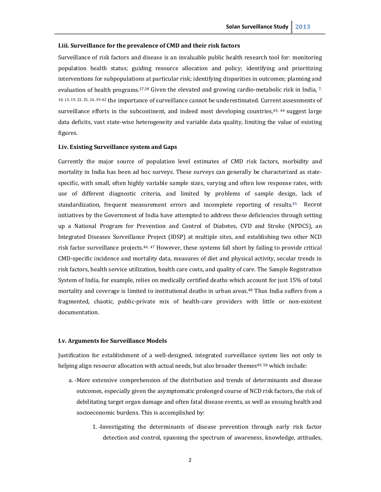## <span id="page-6-0"></span> **I.iii. Surveillance for the prevalence of CMD and their risk factors**

 Surveillance of risk factors and disease is an invaluable public health research tool for: monitoring population health status; guiding resource allocation and policy; identifying and prioritizing interventions for subpopulations at particular risk; identifying disparities in outcomes; planning and evaluation of health programs.<sup>37,38</sup> Given the elevated and growing cardio-metabolic risk in India,  $^{7}$ , 10, 13, 19, 23, 25, 26, 39-42 the importance of surveillance cannot be underestimated. Current assessments of surveillance efforts in the subcontinent, and indeed most developing countries,<sup>43, 44</sup> suggest large data deficits, vast state-wise heterogeneity and variable data quality, limiting the value of existing figures.

## **I.iv. Existing Surveillance system and Gaps**

 Currently the major source of population level estimates of CMD risk factors, morbidity and mortality in India has been ad hoc surveys. These surveys can generally be characterized as state- specific, with small, often highly variable sample sizes, varying and often low response rates, with use of different diagnostic criteria, and limited by problems of sample design, lack of standardization, frequent measurement errors and incomplete reporting of results.45 Recent initiatives by the Government of India have attempted to address these deficiencies through setting up a National Program for Prevention and Control of Diabetes, CVD and Stroke (NPDCS), an Integrated Diseases Surveillance Project (IDSP) at multiple sites, and establishing two other NCD risk factor surveillance projects.46, 47 However, these systems fall short by failing to provide critical CMD-specific incidence and mortality data, measures of diet and physical activity, secular trends in risk factors, health service utilization, health care costs, and quality of care. The Sample Registration System of India, for example, relies on medically certified deaths which account for just 15% of total mortality and coverage is limited to institutional deaths in urban areas.48 Thus India suffers from a fragmented, chaotic, public-private mix of health-care providers with little or non-existent documentation.

#### **I.v. Arguments for Surveillance Models**

 Justification for establishment of a well-designed, integrated surveillance system lies not only in helping align resource allocation with actual needs, but also broader themes<sup>49, 50</sup> which include:

- a. More extensive comprehension of the distribution and trends of determinants and disease outcomes, especially given the asymptomatic prolonged course of NCD risk factors, the risk of debilitating target organ damage and often fatal disease events, as well as ensuing health and socioeconomic burdens. This is accomplished by:
	- 1. Investigating the determinants of disease prevention through early risk factor detection and control, spanning the spectrum of awareness, knowledge, attitudes,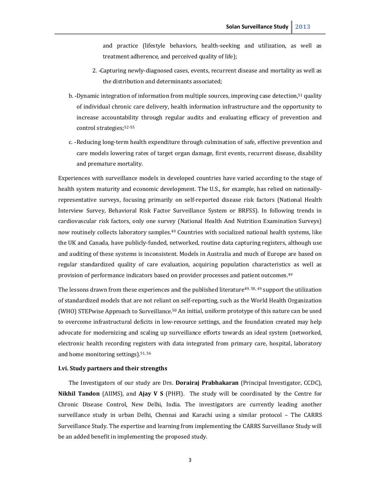<span id="page-7-0"></span> and practice (lifestyle behaviors, health-seeking and utilization, as well as treatment adherence, and perceived quality of life);

- 2. Capturing newly-diagnosed cases, events, recurrent disease and mortality as well as the distribution and determinants associated;
- b. -Dynamic integration of information from multiple sources, improving case detection,<sup>51</sup> quality of individual chronic care delivery, health information infrastructure and the opportunity to increase accountability through regular audits and evaluating efficacy of prevention and control strategies;52-55
- c. Reducing long-term health expenditure through culmination of safe, effective prevention and care models lowering rates of target organ damage, first events, recurrent disease, disability and premature mortality.

 Experiences with surveillance models in developed countries have varied according to the stage of health system maturity and economic development. The U.S., for example, has relied on nationally- representative surveys, focusing primarily on self-reported disease risk factors (National Health Interview Survey, Behavioral Risk Factor Surveillance System or BRFSS). In following trends in cardiovascular risk factors, only one survey (National Health And Nutrition Examination Surveys) now routinely collects laboratory samples.<sup>49</sup> Countries with socialized national health systems, like the UK and Canada, have publicly-funded, networked, routine data capturing registers, although use and auditing of these systems is inconsistent. Models in Australia and much of Europe are based on regular standardized quality of care evaluation, acquiring population characteristics as well as provision of performance indicators based on provider processes and patient outcomes.49

The lessons drawn from these experiences and the published literature<sup>49, 50, 49</sup> support the utilization of standardized models that are not reliant on self-reporting, such as the World Health Organization (WHO) STEPwise Approach to Surveillance.50 An initial, uniform prototype of this nature can be used to overcome infrastructural deficits in low-resource settings, and the foundation created may help advocate for modernizing and scaling up surveillance efforts towards an ideal system (networked, electronic health recording registers with data integrated from primary care, hospital, laboratory and home monitoring settings).<sup>51, 56</sup>

#### **I.vi. Study partners and their strengths**

 The Investigators of our study are Drs. **Dorairaj Prabhakaran** (Principal Investigator, CCDC), **Nikhil Tandon** (AIIMS), and **Ajay V S** (PHFI). The study will be coordinated by the Centre for Chronic Disease Control, New Delhi, India. The investigators are currently leading another surveillance study in urban Delhi, Chennai and Karachi using a similar protocol – The CARRS Surveillance Study. The expertise and learning from implementing the CARRS Surveillance Study will be an added benefit in implementing the proposed study.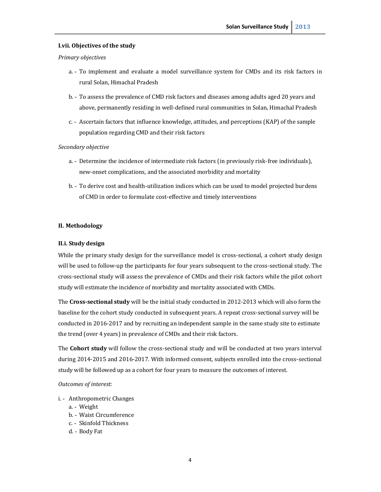## <span id="page-8-0"></span> **I.vii. Objectives of the study**

#### *Primary objectives*

- a. To implement and evaluate a model surveillance system for CMDs and its risk factors in rural Solan, Himachal Pradesh
- b. To assess the prevalence of CMD risk factors and diseases among adults aged 20 years and above, permanently residing in well-defined rural communities in Solan, Himachal Pradesh
- c. Ascertain factors that influence knowledge, attitudes, and perceptions (KAP) of the sample population regarding CMD and their risk factors

#### *Secondary objective*

- a. Determine the incidence of intermediate risk factors (in previously risk-free individuals), new-onset complications, and the associated morbidity and mortality
- b. To derive cost and health-utilization indices which can be used to model projected burdens of CMD in order to formulate cost-effective and timely interventions

## **II. Methodology**

#### **II.i. Study design**

 While the primary study design for the surveillance model is cross-sectional, a cohort study design will be used to follow-up the participants for four years subsequent to the cross-sectional study. The cross-sectional study will assess the prevalence of CMDs and their risk factors while the pilot cohort study will estimate the incidence of morbidity and mortality associated with CMDs.

 The **Cross-sectional study** will be the initial study conducted in 2012-2013 which will also form the baseline for the cohort study conducted in subsequent years. A repeat cross-sectional survey will be conducted in 2016-2017 and by recruiting an independent sample in the same study site to estimate the trend (over 4 years) in prevalence of CMDs and their risk factors.

 The **Cohort study** will follow the cross-sectional study and will be conducted at two years interval during 2014-2015 and 2016-2017. With informed consent, subjects enrolled into the cross-sectional study will be followed up as a cohort for four years to measure the outcomes of interest.

#### *Outcomes of interest:*

- i. Anthropometric Changes
	- a. Weight
	- b. Waist Circumference a. - Weight<br>b. - Waist Circumference<br>c. - Skinfold Thickness
	-
	- d. Body Fat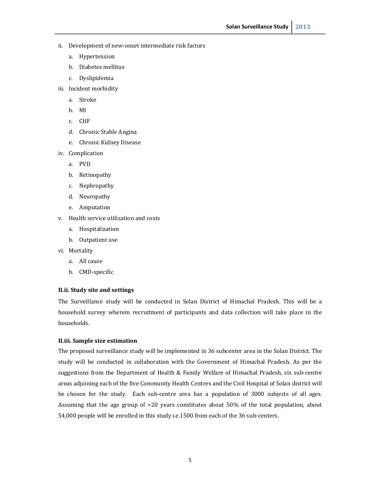- <span id="page-9-0"></span> ii. Development of new-onset intermediate risk factors
	- a. Hypertension
	- b. Diabetes mellitus
	- c. Dyslipidemia
- iii. Incident morbidity
	- a. Stroke<br>b. MI
	-
	- c. CHF
	- d. Chronic Stable Angina
	- e. Chronic Kidney Disease
- iv. Complication
	- a. PVD
	- b. Retinopathy
	- c. Nephropathy
	- d. Neuropathy
	- e. Amputation
- v. Health service utilization and costs
	- a. Hospitalization
	- b. Outpatient use
- vi. Mortality vi. Mortality a. All cause
	-
	- b. CMD-specific

## **II.ii. Study site and settings**

 The Surveillance study will be conducted in Solan District of Himachal Pradesh. This will be a household survey wherein recruitment of participants and data collection will take place in the households.

## **II.iii. Sample size estimation**

 The proposed surveillance study will be implemented in 36 subcenter area in the Solan District. The study will be conducted in collaboration with the Government of Himachal Pradesh. As per the suggestions from the Department of Health & Family Welfare of Himachal Pradesh, six sub-centre areas adjoining each of the five Community Health Centres and the Civil Hospital of Solan district will be chosen for the study. Each sub-centre area has a population of 3000 subjects of all ages. Assuming that the age group of >20 years constitutes about 50% of the total population, about 54,000 people will be enrolled in this study i.e.1500 from each of the 36 sub-centers.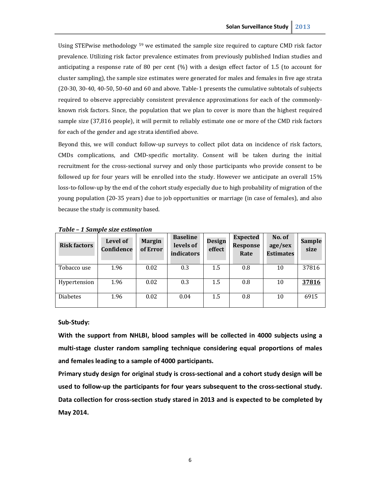Using STEPwise methodology <sup>59</sup> we estimated the sample size required to capture CMD risk factor prevalence. Utilizing risk factor prevalence estimates from previously published Indian studies and anticipating a response rate of 80 per cent (%) with a design effect factor of 1.5 (to account for cluster sampling), the sample size estimates were generated for males and females in five age strata (20-30, 30-40, 40-50, 50-60 and 60 and above. Table-1 presents the cumulative subtotals of subjects required to observe appreciably consistent prevalence approximations for each of the commonly- known risk factors. Since, the population that we plan to cover is more than the highest required sample size (37,816 people), it will permit to reliably estimate one or more of the CMD risk factors for each of the gender and age strata identified above.

 Beyond this, we will conduct follow-up surveys to collect pilot data on incidence of risk factors, CMDs complications, and CMD-specific mortality. Consent will be taken during the initial recruitment for the cross-sectional survey and only those participants who provide consent to be followed up for four years will be enrolled into the study. However we anticipate an overall 15% loss-to-follow-up by the end of the cohort study especially due to high probability of migration of the young population (20-35 years) due to job opportunities or marriage (in case of females), and also because the study is community based.

| <b>Risk factors</b> | Level of<br>Confidence | <b>Margin</b><br>of Error | <b>Baseline</b><br>levels of<br>indicators | <b>Design</b><br>effect | <b>Expected</b><br>Response<br>Rate | No. of<br>age/sex<br><b>Estimates</b> | <b>Sample</b><br>size |
|---------------------|------------------------|---------------------------|--------------------------------------------|-------------------------|-------------------------------------|---------------------------------------|-----------------------|
| Tobacco use         | 1.96                   | 0.02                      | 0.3                                        | 1.5                     | 0.8                                 | 10                                    | 37816                 |
| Hypertension        | 1.96                   | 0.02                      | 0.3                                        | 1.5                     | 0.8                                 | 10                                    | 37816                 |
| <b>Diabetes</b>     | 1.96                   | 0.02                      | 0.04                                       | 1.5                     | 0.8                                 | 10                                    | 6915                  |

 *Table – 1 Sample size estimation* 

## **Sub-Study:**

 **With the support from NHLBI, blood samples will be collected in 4000 subjects using a multi-stage cluster random sampling technique considering equal proportions of males and females leading to a sample of 4000 participants.** 

 **Primary study design for original study is cross-sectional and a cohort study design will be used to follow-up the participants for four years subsequent to the cross-sectional study. Data collection for cross-section study stared in 2013 and is expected to be completed by May 2014.**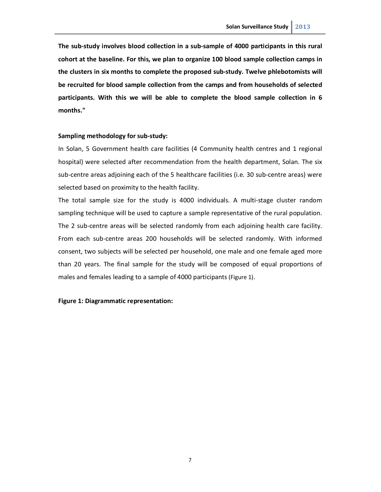**The sub-study involves blood collection in a sub-sample of 4000 participants in this rural cohort at the baseline. For this, we plan to organize 100 blood sample collection camps in the clusters in six months to complete the proposed sub-study. Twelve phlebotomists will be recruited for blood sample collection from the camps and from households of selected participants. With this we will be able to complete the blood sample collection in 6 months."** 

## **Sampling methodology for sub-study:**

 In Solan, 5 Government health care facilities (4 Community health centres and 1 regional hospital) were selected after recommendation from the health department, Solan. The six sub-centre areas adjoining each of the 5 healthcare facilities (i.e. 30 sub-centre areas) were selected based on proximity to the health facility.

 The total sample size for the study is 4000 individuals. A multi-stage cluster random sampling technique will be used to capture a sample representative of the rural population. The 2 sub-centre areas will be selected randomly from each adjoining health care facility. From each sub-centre areas 200 households will be selected randomly. With informed consent, two subjects will be selected per household, one male and one female aged more than 20 years. The final sample for the study will be composed of equal proportions of males and females leading to a sample of 4000 participants (Figure 1).

## **Figure 1: Diagrammatic representation:**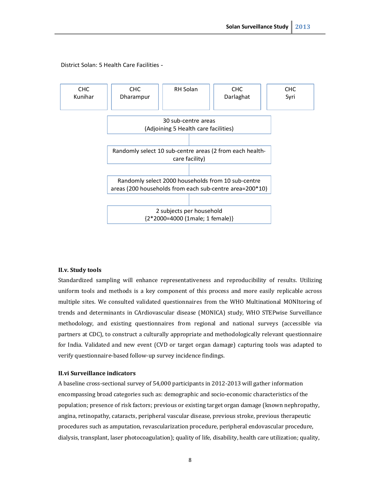<span id="page-12-0"></span>

District Solan: 5 Health Care Facilities

## **II.v. Study tools**

 Standardized sampling will enhance representativeness and reproducibility of results. Utilizing uniform tools and methods is a key component of this process and more easily replicable across multiple sites. We consulted validated questionnaires from the WHO Multinational MONItoring of trends and determinants in CArdiovascular disease (MONICA) study, WHO STEPwise Surveillance methodology, and existing questionnaires from regional and national surveys (accessible via partners at CDC), to construct a culturally appropriate and methodologically relevant questionnaire for India. Validated and new event (CVD or target organ damage) capturing tools was adapted to verify questionnaire-based follow-up survey incidence findings.

## **II.vi Surveillance indicators**

 A baseline cross-sectional survey of 54,000 participants in 2012-2013 will gather information encompassing broad categories such as: demographic and socio-economic characteristics of the population; presence of risk factors; previous or existing target organ damage (known nephropathy, angina, retinopathy, cataracts, peripheral vascular disease, previous stroke, previous therapeutic procedures such as amputation, revascularization procedure, peripheral endovascular procedure, dialysis, transplant, laser photocoagulation); quality of life, disability, health care utilization; quality,

8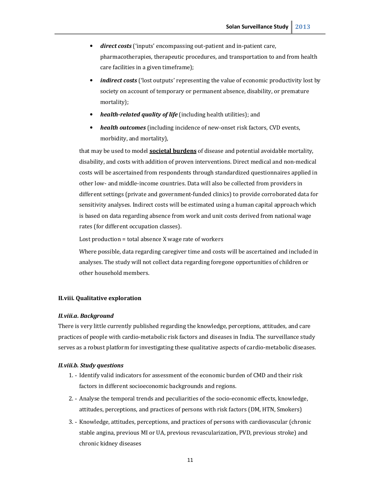- <span id="page-15-0"></span> •*direct costs* ('inputs' encompassing out-patient and in-patient care, pharmacotherapies, therapeutic procedures, and transportation to and from health care facilities in a given timeframe);
- *indirect costs* ('lost outputs' representing the value of economic productivity lost by society on account of temporary or permanent absence, disability, or premature mortality);
- health-related quality of life (including health utilities); and
- •*health outcomes* (including incidence of new-onset risk factors, CVD events, morbidity, and mortality),  $\bullet$

 that may be used to model **societal burdens** of disease and potential avoidable mortality, disability, and costs with addition of proven interventions. Direct medical and non-medical costs will be ascertained from respondents through standardized questionnaires applied in other low- and middle-income countries. Data will also be collected from providers in different settings (private and government-funded clinics) to provide corroborated data for sensitivity analyses. Indirect costs will be estimated using a human capital approach which is based on data regarding absence from work and unit costs derived from national wage rates (for different occupation classes).

Lost production = total absence X wage rate of workers

 Where possible, data regarding caregiver time and costs will be ascertained and included in analyses. The study will not collect data regarding foregone opportunities of children or other household members.

## **II.viii. Qualitative exploration**

## *II.viii.a. Background*

 There is very little currently published regarding the knowledge, perceptions, attitudes, and care practices of people with cardio-metabolic risk factors and diseases in India. The surveillance study serves as a robust platform for investigating these qualitative aspects of cardio-metabolic diseases.

## *II.viii.b. Study questions*

- 1. Identify valid indicators for assessment of the economic burden of CMD and their risk factors in different socioeconomic backgrounds and regions.
- 2. Analyse the temporal trends and peculiarities of the socio-economic effects, knowledge, attitudes, perceptions, and practices of persons with risk factors (DM, HTN, Smokers)
- 3. Knowledge, attitudes, perceptions, and practices of persons with cardiovascular (chronic stable angina, previous MI or UA, previous revascularization, PVD, previous stroke) and chronic kidney diseases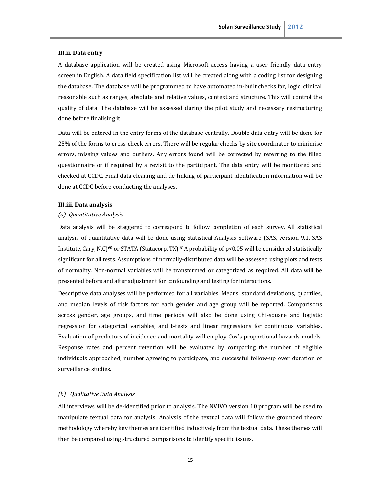## <span id="page-19-0"></span> **III.ii. Data entry**

 A database application will be created using Microsoft access having a user friendly data entry screen in English. A data field specification list will be created along with a coding list for designing the database. The database will be programmed to have automated in-built checks for, logic, clinical reasonable such as ranges, absolute and relative values, context and structure. This will control the quality of data. The database will be assessed during the pilot study and necessary restructuring done before finalising it.

 Data will be entered in the entry forms of the database centrally. Double data entry will be done for 25% of the forms to cross-check errors. There will be regular checks by site coordinator to minimise errors, missing values and outliers. Any errors found will be corrected by referring to the filled questionnaire or if required by a revisit to the participant. The data entry will be monitored and checked at CCDC. Final data cleaning and de-linking of participant identification information will be done at CCDC before conducting the analyses.

## **III.iii. Data analysis**

## *(a) Quantitative Analysis*

 Data analysis will be staggered to correspond to follow completion of each survey. All statistical analysis of quantitative data will be done using Statistical Analysis Software (SAS, version 9.1, SAS Institute, Cary, N.C)<sup>60</sup> or STATA (Statacorp, TX).<sup>61</sup>A probability of p<0.05 will be considered statistically significant for all tests. Assumptions of normally-distributed data will be assessed using plots and tests of normality. Non-normal variables will be transformed or categorized as required. All data will be presented before and after adjustment for confounding and testing for interactions.

 Descriptive data analyses will be performed for all variables. Means, standard deviations, quartiles, and median levels of risk factors for each gender and age group will be reported. Comparisons across gender, age groups, and time periods will also be done using Chi-square and logistic regression for categorical variables, and t-tests and linear regressions for continuous variables. Evaluation of predictors of incidence and mortality will employ Cox's proportional hazards models. Response rates and percent retention will be evaluated by comparing the number of eligible individuals approached, number agreeing to participate, and successful follow-up over duration of surveillance studies.

## *(b) Qualitative Data Analysis*

 All interviews will be de-identified prior to analysis. The NVIVO version 10 program will be used to manipulate textual data for analysis. Analysis of the textual data will follow the grounded theory methodology whereby key themes are identified inductively from the textual data. These themes will then be compared using structured comparisons to identify specific issues.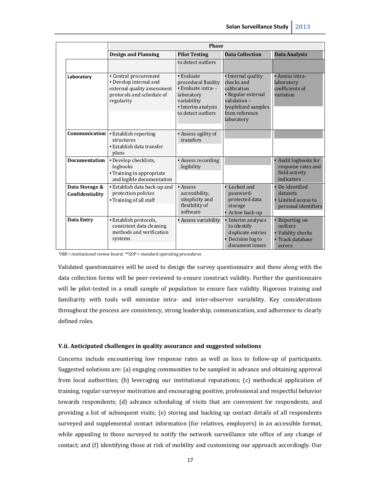<span id="page-21-0"></span>

|                                   | <b>Phase</b>                                                                                                              |                                                                                                                                  |                                                                                                                                             |                                                                             |
|-----------------------------------|---------------------------------------------------------------------------------------------------------------------------|----------------------------------------------------------------------------------------------------------------------------------|---------------------------------------------------------------------------------------------------------------------------------------------|-----------------------------------------------------------------------------|
|                                   | <b>Design and Planning</b>                                                                                                | <b>Pilot Testing</b>                                                                                                             | <b>Data Collection</b>                                                                                                                      | <b>Data Analysis</b>                                                        |
|                                   |                                                                                                                           | to detect outliers                                                                                                               |                                                                                                                                             |                                                                             |
| Laboratory                        | • Central procurement<br>• Develop internal and<br>external quality assessment<br>protocols and schedule of<br>regularity | • Evaluate<br>procedural fluidity<br>• Evaluate intra--<br>laboratory<br>variability<br>· Interim analysis<br>to detect outliers | • Internal quality<br>checks and<br>calibration<br>• Regular external<br>validation-<br>lyophilized samples<br>from reference<br>laboratory | • Assess intra-<br>laboratory<br>coefficients of<br>variation               |
| Communication                     | · Establish reporting<br>structures<br>• Establish data transfer<br>plans                                                 | • Assess agility of<br>transfers                                                                                                 |                                                                                                                                             |                                                                             |
| <b>Documentation</b>              | • Develop checklists,<br>logbooks<br>• Training in appropriate<br>and legible documentation                               | • Assess recording<br>legibility                                                                                                 |                                                                                                                                             | • Audit logbooks for<br>response rates and<br>field activity<br>indicators  |
| Data Storage &<br>Confidentiality | • Establish data back-up and<br>protection policies<br>• Training of all staff                                            | • Assess<br>accessibility,<br>simplicity and<br>flexibility of<br>software                                                       | • Locked and<br>password-<br>protected data<br>storage<br>• Active back-up                                                                  | • De-identified<br>datasets<br>• Limited access to<br>personal identifiers  |
| Data Entry                        | · Establish protocols,<br>consistent data cleaning<br>methods and verification<br>systems                                 | • Assess variability                                                                                                             | • Interim analyses<br>to identify<br>duplicate entries<br>• Decision log to<br>document issues                                              | • Reporting on<br>outliers<br>• Validity checks<br>Track database<br>errors |

 *\*IRB = institutional review board; \*\*SOP = standard operating procedures* 

 Validated questionnaires will be used to design the survey questionnaire and these along with the data collection forms will be peer-reviewed to ensure construct validity. Further the questionnaire will be pilot-tested in a small sample of population to ensure face validity. Rigorous training and familiarity with tools will minimize intra- and inter-observer variability. Key considerations throughout the process are consistency, strong leadership, communication, and adherence to clearly defined roles.

## **V.ii. Anticipated challenges in quality assurance and suggested solutions**

 Concerns include encountering low response rates as well as loss to follow-up of participants. Suggested solutions are: (a) engaging communities to be sampled in advance and obtaining approval from local authorities; (b) leveraging our institutional reputations; (c) methodical application of training, regular surveyor motivation and encouraging positive, professional and respectful behavior towards respondents; (d) advance scheduling of visits that are convenient for respondents, and providing a list of subsequent visits; (e) storing and backing up contact details of all respondents surveyed and supplemental contact information (for relatives, employers) in an accessible format, while appealing to those surveyed to notify the network surveillance site office of any change of contact; and (f) identifying those at risk of mobility and customizing our approach accordingly. Our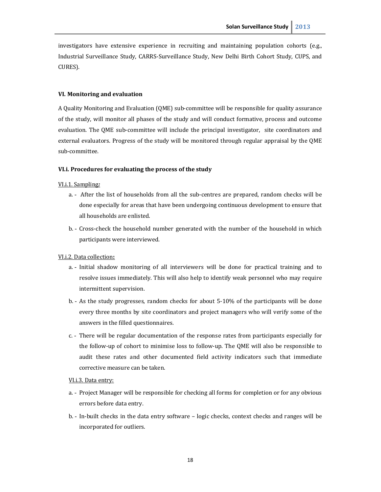<span id="page-22-0"></span> investigators have extensive experience in recruiting and maintaining population cohorts (e.g., Industrial Surveillance Study, CARRS-Surveillance Study, New Delhi Birth Cohort Study, CUPS, and CURES).

## **VI. Monitoring and evaluation**

 A Quality Monitoring and Evaluation (QME) sub-committee will be responsible for quality assurance of the study, will monitor all phases of the study and will conduct formative, process and outcome evaluation. The QME sub-committee will include the principal investigator, site coordinators and external evaluators. Progress of the study will be monitored through regular appraisal by the QME sub-committee.

## **VI.i. Procedures for evaluating the process of the study**

## VI.i.1. Sampling*:*

- a. After the list of households from all the sub-centres are prepared, random checks will be done especially for areas that have been undergoing continuous development to ensure that all households are enlisted.
- b. Cross-check the household number generated with the number of the household in which participants were interviewed.

## VI.i.2. Data collection**:**

- a. Initial shadow monitoring of all interviewers will be done for practical training and to resolve issues immediately. This will also help to identify weak personnel who may require intermittent supervision.
- intermittent supervision.<br>b. As the study progresses, random checks for about 5-10% of the participants will be done every three months by site coordinators and project managers who will verify some of the answers in the filled questionnaires.
- c. There will be regular documentation of the response rates from participants especially for the follow-up of cohort to minimise loss to follow-up. The QME will also be responsible to audit these rates and other documented field activity indicators such that immediate corrective measure can be taken.

## VI.i.3. Data entry:

- a. Project Manager will be responsible for checking all forms for completion or for any obvious errors before data entry.
- b. In-built checks in the data entry software logic checks, context checks and ranges will be incorporated for outliers.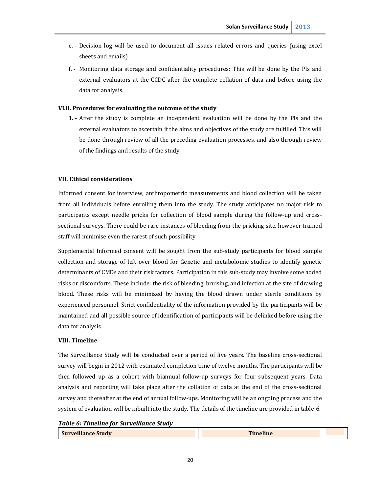- <span id="page-24-0"></span> e. Decision log will be used to document all issues related errors and queries (using excel sheets and emails)
- f. Monitoring data storage and confidentiality procedures: This will be done by the PIs and external evaluators at the CCDC after the complete collation of data and before using the data for analysis.

## **VI.ii. Procedures for evaluating the outcome of the study**

 1. After the study is complete an independent evaluation will be done by the PIs and the external evaluators to ascertain if the aims and objectives of the study are fulfilled. This will be done through review of all the preceding evaluation processes, and also through review of the findings and results of the study.

## **VII. Ethical considerations**

 Informed consent for interview, anthropometric measurements and blood collection will be taken from all individuals before enrolling them into the study. The study anticipates no major risk to participants except needle pricks for collection of blood sample during the follow-up and cross- sectional surveys. There could be rare instances of bleeding from the pricking site, however trained staff will minimise even the rarest of such possibility.

 Supplemental Informed consent will be sought from the sub-study participants for blood sample collection and storage of left over blood for Genetic and metabolomic studies to identify genetic determinants of CMDs and their risk factors. Participation in this sub-study may involve some added risks or discomforts. These include: the risk of bleeding, bruising, and infection at the site of drawing blood. These risks will be minimized by having the blood drawn under sterile conditions by experienced personnel. Strict confidentiality of the information provided by the participants will be maintained and all possible source of identification of participants will be delinked before using the data for analysis.

## **VIII. Timeline**

 The Surveillance Study will be conducted over a period of five years. The baseline cross-sectional survey will begin in 2012 with estimated completion time of twelve months. The participants will be then followed up as a cohort with biannual follow-up surveys for four subsequent years. Data analysis and reporting will take place after the collation of data at the end of the cross-sectional survey and thereafter at the end of annual follow-ups. Monitoring will be an ongoing process and the system of evaluation will be inbuilt into the study. The details of the timeline are provided in table-6.

 *Table 6: Timeline for Surveillance Study* 

| <b>Surveillance Study</b> | <b>Timeline</b> |  |
|---------------------------|-----------------|--|
|                           |                 |  |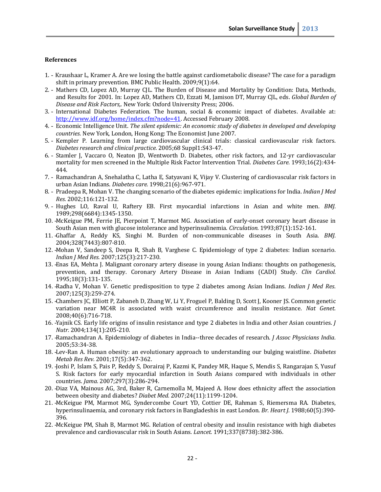## <span id="page-26-0"></span>**References**

- 1. Kraushaar L, Kramer A. Are we losing the battle against cardiometabolic disease? The case for a paradigm shift in primary prevention. BMC Public Health. 2009;9(1):64.
- 2. Mathers CD, Lopez AD, Murray CJL. The Burden of Disease and Mortality by Condition: Data, Methods, and Results for 2001. In: Lopez AD, Mathers CD, Ezzati M, Jamison DT, Murray CJL, eds. *Global Burden of Disease and Risk Factors,*. New York: Oxford University Press; 2006.
- 3. International Diabetes Federation. The human, social & economic impact of diabetes. Available at: http://www.idf.org/home/index.cfm?node=41</u>. Accessed February 2008.
- 4. Economic Intelligence Unit. *The silent epidemic: An economic study of diabetes in developed and developing countries.* New York, London, Hong Kong: The Economist June 2007.
- 5. Kempler P. Learning from large cardiovascular clinical trials: classical cardiovascular risk factors.  *Diabetes research and clinical practice.* 2005;68 Suppl1:S43-47.
- 6. Stamler J, Vaccaro O, Neaton JD, Wentworth D. Diabetes, other risk factors, and 12-yr cardiovascular mortality for men screened in the Multiple Risk Factor Intervention Trial. *Diabetes Care.* 1993;16(2):434- 444.
- 7. Ramachandran A, Snehalatha C, Latha E, Satyavani K, Vijay V. Clustering of cardiovascular risk factors in urban Asian Indians. *Diabetes care.* 1998;21(6):967-971.
- 8. Pradeepa R, Mohan V. The changing scenario of the diabetes epidemic: implications for India. *Indian J Med Res.* 2002;116:121-132.
- 9. Hughes LO, Raval U, Raftery EB. First myocardial infarctions in Asian and white men. *BMJ.*  1989;298(6684):1345-1350.
- 10. McKeigue PM, Ferrie JE, Pierpoint T, Marmot MG. Association of early-onset coronary heart disease in South Asian men with glucose intolerance and hyperinsulinemia. *Circulation.* 1993;87(1):152-161.
- 11. Ghaffar A, Reddy KS, Singhi M. Burden of non-communicable diseases in South Asia. *BMJ.*  2004;328(7443):807-810.
- 12. Mohan V, Sandeep S, Deepa R, Shah B, Varghese C. Epidemiology of type 2 diabetes: Indian scenario.  *Indian J Med Res.* 2007;125(3):217-230.
- 13. Enas EA, Mehta J. Malignant coronary artery disease in young Asian Indians: thoughts on pathogenesis, prevention, and therapy. Coronary Artery Disease in Asian Indians (CADI) Study. *Clin Cardiol.*  1995;18(3):131-135.
- 14. Radha V, Mohan V. Genetic predisposition to type 2 diabetes among Asian Indians. *Indian J Med Res.*  2007;125(3):259-274.
- 15. Chambers JC, Elliott P, Zabaneh D, Zhang W, Li Y, Froguel P, Balding D, Scott J, Kooner JS. Common genetic variation near MC4R is associated with waist circumference and insulin resistance. *Nat Genet.*  2008;40(6):716-718.
- 16. Yajnik CS. Early life origins of insulin resistance and type 2 diabetes in India and other Asian countries. *J Nutr.* 2004;134(1):205-210.
- 17. Ramachandran A. Epidemiology of diabetes in India--three decades of research. *J Assoc Physicians India.*  2005;53:34-38.
- 18. Lev-Ran A. Human obesity: an evolutionary approach to understanding our bulging waistline. *Diabetes Metab Res Rev.* 2001;17(5):347-362.
- 19. Joshi P, Islam S, Pais P, Reddy S, Dorairaj P, Kazmi K, Pandey MR, Haque S, Mendis S, Rangarajan S, Yusuf S. Risk factors for early myocardial infarction in South Asians compared with individuals in other countries. *Jama.* 2007;297(3):286-294.
- 20. Diaz VA, Mainous AG, 3rd, Baker R, Carnemolla M, Majeed A. How does ethnicity affect the association between obesity and diabetes? *Diabet Med.* 2007;24(11):1199-1204.
- 21. McKeigue PM, Marmot MG, Syndercombe Court YD, Cottier DE, Rahman S, Riemersma RA. Diabetes, hyperinsulinaemia, and coronary risk factors in Bangladeshis in east London. *Br. Heart J.* 1988;60(5):390- 396.
- 22. McKeigue PM, Shah B, Marmot MG. Relation of central obesity and insulin resistance with high diabetes prevalence and cardiovascular risk in South Asians. *Lancet.* 1991;337(8738):382-386.